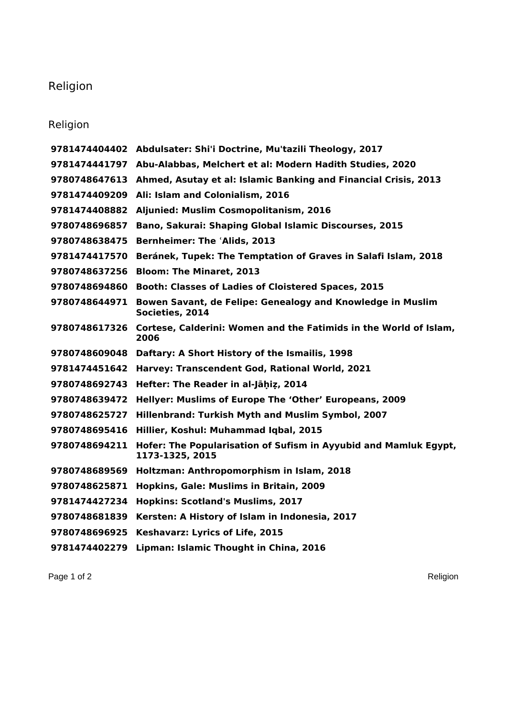## Religion

## Religion

|               | 9781474404402 Abdulsater: Shi'i Doctrine, Mu'tazili Theology, 2017                  |
|---------------|-------------------------------------------------------------------------------------|
|               | 9781474441797 Abu-Alabbas, Melchert et al: Modern Hadith Studies, 2020              |
| 9780748647613 | Ahmed, Asutay et al: Islamic Banking and Financial Crisis, 2013                     |
| 9781474409209 | Ali: Islam and Colonialism, 2016                                                    |
| 9781474408882 | Aljunied: Muslim Cosmopolitanism, 2016                                              |
| 9780748696857 | Bano, Sakurai: Shaping Global Islamic Discourses, 2015                              |
| 9780748638475 | <b>Bernheimer: The 'Alids, 2013</b>                                                 |
| 9781474417570 | Beránek, Tupek: The Temptation of Graves in Salafi Islam, 2018                      |
| 9780748637256 | <b>Bloom: The Minaret, 2013</b>                                                     |
| 9780748694860 | <b>Booth: Classes of Ladies of Cloistered Spaces, 2015</b>                          |
| 9780748644971 | Bowen Savant, de Felipe: Genealogy and Knowledge in Muslim<br>Societies, 2014       |
| 9780748617326 | Cortese, Calderini: Women and the Fatimids in the World of Islam,<br>2006           |
|               | 9780748609048 Daftary: A Short History of the Ismailis, 1998                        |
|               | 9781474451642 Harvey: Transcendent God, Rational World, 2021                        |
| 9780748692743 | Hefter: The Reader in al-Jāḥiz, 2014                                                |
| 9780748639472 | Hellyer: Muslims of Europe The 'Other' Europeans, 2009                              |
| 9780748625727 | Hillenbrand: Turkish Myth and Muslim Symbol, 2007                                   |
| 9780748695416 | Hillier, Koshul: Muhammad Iqbal, 2015                                               |
| 9780748694211 | Hofer: The Popularisation of Sufism in Ayyubid and Mamluk Egypt,<br>1173-1325, 2015 |
| 9780748689569 | Holtzman: Anthropomorphism in Islam, 2018                                           |
| 9780748625871 | Hopkins, Gale: Muslims in Britain, 2009                                             |
| 9781474427234 | <b>Hopkins: Scotland's Muslims, 2017</b>                                            |
| 9780748681839 | Kersten: A History of Islam in Indonesia, 2017                                      |
| 9780748696925 | <b>Keshavarz: Lyrics of Life, 2015</b>                                              |
| 9781474402279 | Lipman: Islamic Thought in China, 2016                                              |
|               |                                                                                     |

Page 1 of 2 Religion